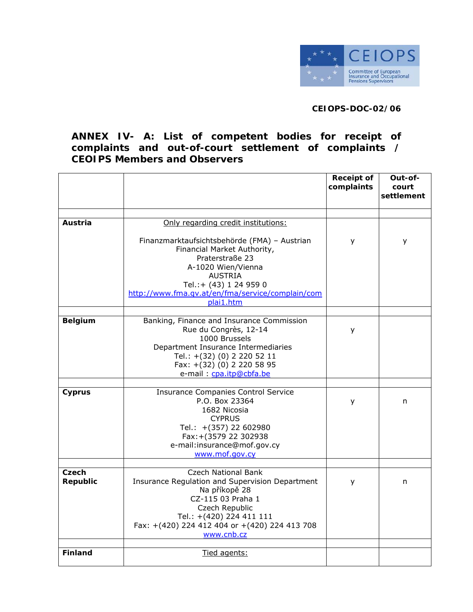

## **CEIOPS-DOC-02/06**

## **ANNEX IV- A: List of competent bodies for receipt of complaints and out-of-court settlement of complaints / CEOIPS Members and Observers**

|                          |                                                                                                                                                                                                                                    | <b>Receipt of</b><br>complaints | Out-of-<br>court<br>settlement |
|--------------------------|------------------------------------------------------------------------------------------------------------------------------------------------------------------------------------------------------------------------------------|---------------------------------|--------------------------------|
|                          |                                                                                                                                                                                                                                    |                                 |                                |
| Austria                  | Only regarding credit institutions:                                                                                                                                                                                                |                                 |                                |
|                          | Finanzmarktaufsichtsbehörde (FMA) - Austrian<br>Financial Market Authority,<br>Praterstraße 23<br>A-1020 Wien/Vienna<br><b>AUSTRIA</b><br>Tel.: + (43) 1 24 959 0<br>http://www.fma.qv.at/en/fma/service/complain/com<br>plai1.htm | у                               | У                              |
| <b>Belgium</b>           | Banking, Finance and Insurance Commission<br>Rue du Congrès, 12-14<br>1000 Brussels<br>Department Insurance Intermediaries<br>Tel.: +(32) (0) 2 220 52 11<br>Fax: +(32) (0) 2 220 58 95<br>e-mail: cpa.itp@cbfa.be                 | У                               |                                |
|                          |                                                                                                                                                                                                                                    |                                 |                                |
| Cyprus                   | <b>Insurance Companies Control Service</b><br>P.O. Box 23364<br>1682 Nicosia<br><b>CYPRUS</b><br>Tel.: +(357) 22 602980<br>Fax: + (3579 22 302938<br>e-mail:insurance@mof.gov.cy<br>www.mof.gov.cy                                 | y                               | n                              |
| Czech<br><b>Republic</b> | Czech National Bank<br>Insurance Regulation and Supervision Department<br>Na příkopě 28<br>CZ-115 03 Praha 1<br>Czech Republic<br>Tel.: +(420) 224 411 111<br>Fax: +(420) 224 412 404 or +(420) 224 413 708<br>www.cnb.cz          | У                               | n                              |
| <b>Finland</b>           | Tied agents:                                                                                                                                                                                                                       |                                 |                                |
|                          |                                                                                                                                                                                                                                    |                                 |                                |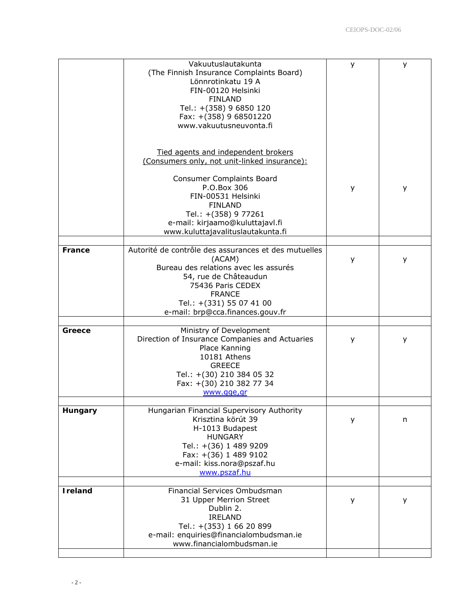|                 | Vakuutuslautakunta<br>(The Finnish Insurance Complaints Board)<br>Lönnrotinkatu 19 A<br>FIN-00120 Helsinki<br><b>FINLAND</b><br>Tel.: +(358) 9 6850 120<br>Fax: +(358) 9 68501220<br>www.vakuutusneuvonta.fi                                                                   | У | У |
|-----------------|--------------------------------------------------------------------------------------------------------------------------------------------------------------------------------------------------------------------------------------------------------------------------------|---|---|
|                 | Tied agents and independent brokers<br>(Consumers only, not unit-linked insurance):<br><b>Consumer Complaints Board</b><br>P.O.Box 306<br>FIN-00531 Helsinki<br><b>FINLAND</b><br>Tel.: +(358) 9 77261<br>e-mail: kirjaamo@kuluttajavl.fi<br>www.kuluttajavalituslautakunta.fi | y | y |
| France          | Autorité de contrôle des assurances et des mutuelles<br>(ACAM)<br>Bureau des relations avec les assurés<br>54, rue de Châteaudun<br>75436 Paris CEDEX<br><b>FRANCE</b><br>Tel.: +(331) 55 07 41 00<br>e-mail: brp@cca.finances.gouv.fr                                         | У | У |
| Greece          | Ministry of Development<br>Direction of Insurance Companies and Actuaries<br>Place Kanning<br>10181 Athens<br><b>GREECE</b><br>Tel.: +(30) 210 384 05 32<br>Fax: +(30) 210 382 77 34<br>www.gge,gr                                                                             | y | y |
| Hungary         | Hungarian Financial Supervisory Authority<br>Krisztina körút 39<br>H-1013 Budapest<br><b>HUNGARY</b><br>Tel.: +(36) 1 489 9209<br>Fax: +(36) 1 489 9102<br>e-mail: kiss.nora@pszaf.hu<br>www.pszaf.hu                                                                          | y | n |
| <b>I</b> reland | Financial Services Ombudsman<br>31 Upper Merrion Street<br>Dublin 2.<br><b>IRELAND</b><br>Tel.: +(353) 1 66 20 899<br>e-mail: enquiries@financialombudsman.ie<br>www.financialombudsman.ie                                                                                     | у | у |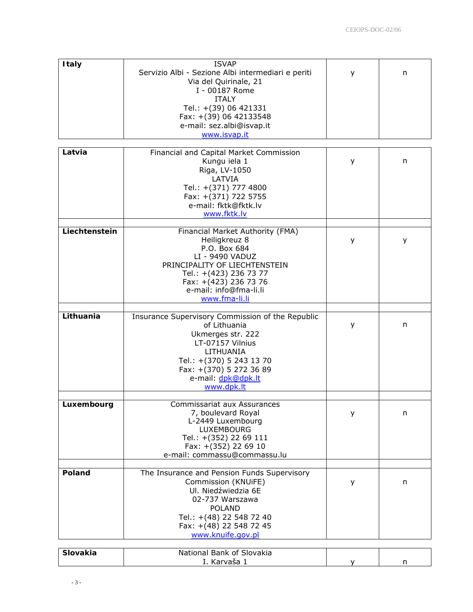| <b>Italy</b>      | <b>ISVAP</b><br>Servizio Albi - Sezione Albi intermediari e periti<br>Via del Quirinale, 21<br>I - 00187 Rome<br><b>ITALY</b><br>Tel.: +(39) 06 421331<br>Fax: +(39) 06 42133548<br>e-mail: sez.albi@isvap.it<br>www.isvap.it | y | n |
|-------------------|-------------------------------------------------------------------------------------------------------------------------------------------------------------------------------------------------------------------------------|---|---|
| Latvia            | Financial and Capital Market Commission<br>Kungu iela 1<br>Riga, LV-1050<br>LATVIA<br>Tel.: +(371) 777 4800<br>Fax: +(371) 722 5755<br>e-mail: fktk@fktk.lv<br>www.fktk.lv                                                    | у | n |
| Liechtenstein     | Financial Market Authority (FMA)<br>Heiligkreuz 8<br>P.O. Box 684<br>LI - 9490 VADUZ<br>PRINCIPALITY OF LIECHTENSTEIN<br>Tel.: +(423) 236 73 77<br>Fax: +(423) 236 73 76<br>e-mail: info@fma-li.li<br>www.fma-li.li           | y | У |
| Lithuania         | Insurance Supervisory Commission of the Republic<br>of Lithuania<br>Ukmerges str. 222<br>LT-07157 Vilnius<br>LITHUANIA<br>Tel.: +(370) 5 243 13 70<br>Fax: +(370) 5 272 36 89<br>e-mail: dpk@dpk.lt<br>www.dpk.lt             | У | n |
| Luxembourg        | Commissariat aux Assurances<br>7, boulevard Royal<br>L-2449 Luxembourg<br>LUXEMBOURG<br>Tel.: +(352) 22 69 111<br>Fax: +(352) 22 69 10<br>e-mail: commassu@commassu.lu                                                        | y | n |
| <b>Poland</b>     | The Insurance and Pension Funds Supervisory<br>Commission (KNUiFE)<br>Ul. Niedźwiedzia 6E<br>02-737 Warszawa<br><b>POLAND</b><br>Tel.: +(48) 22 548 72 40<br>Fax: +(48) 22 548 72 45<br>www.knuife.gov.pl                     | У | n |
| C <sub>left</sub> | Notional Papk of Cloughia                                                                                                                                                                                                     |   |   |